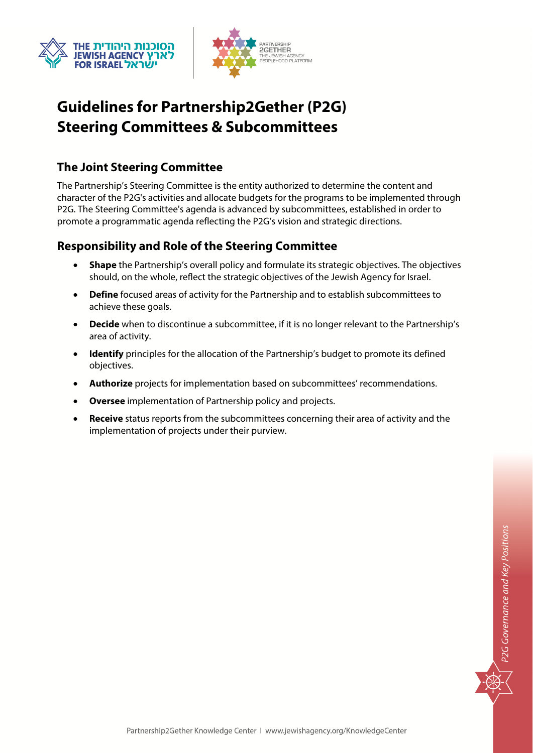



# **Guidelines for Partnership2Gether (P2G) Steering Committees & Subcommittees**

### **The Joint Steering Committee**

The Partnership's Steering Committee is the entity authorized to determine the content and character of the P2G's activities and allocate budgets for the programs to be implemented through P2G. The Steering Committee's agenda is advanced by subcommittees, established in order to promote a programmatic agenda reflecting the P2G's vision and strategic directions.

### **Responsibility and Role of the Steering Committee**

- **Shape** the Partnership's overall policy and formulate its strategic objectives. The objectives should, on the whole, reflect the strategic objectives of the Jewish Agency for Israel.
- **Define** focused areas of activity for the Partnership and to establish subcommittees to achieve these goals.
- **Decide** when to discontinue a subcommittee, if it is no longer relevant to the Partnership's area of activity.
- **Identify** principles for the allocation of the Partnership's budget to promote its defined objectives.
- **Authorize** projects for implementation based on subcommittees' recommendations.
- **Oversee** implementation of Partnership policy and projects.
- **Receive** status reports from the subcommittees concerning their area of activity and the implementation of projects under their purview.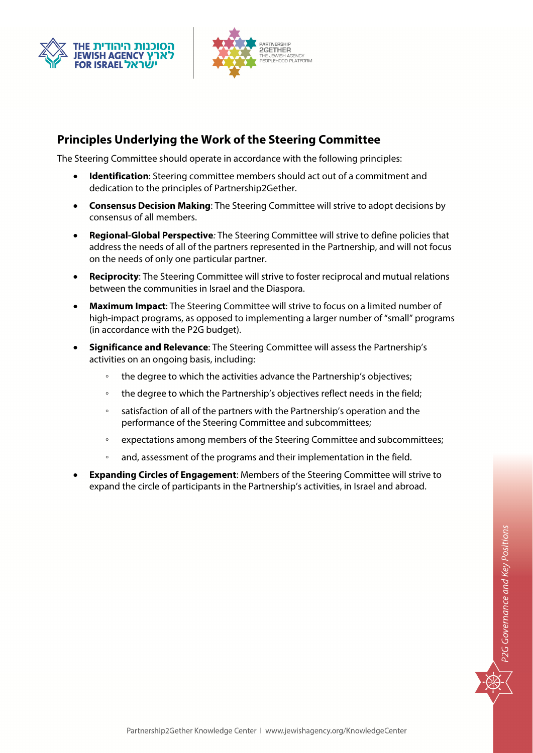



### **Principles Underlying the Work of the Steering Committee**

The Steering Committee should operate in accordance with the following principles:

- **Identification**: Steering committee members should act out of a commitment and dedication to the principles of Partnership2Gether.
- **Consensus Decision Making**: The Steering Committee will strive to adopt decisions by consensus of all members.
- **Regional-Global Perspective**: The Steering Committee will strive to define policies that address the needs of all of the partners represented in the Partnership, and will not focus on the needs of only one particular partner.
- **Reciprocity**: The Steering Committee will strive to foster reciprocal and mutual relations between the communities in Israel and the Diaspora.
- **Maximum Impact**: The Steering Committee will strive to focus on a limited number of high-impact programs, as opposed to implementing a larger number of "small" programs (in accordance with the P2G budget).
- **Significance and Relevance**: The Steering Committee will assess the Partnership's activities on an ongoing basis, including:
	- the degree to which the activities advance the Partnership's objectives;
	- the degree to which the Partnership's objectives reflect needs in the field;
	- satisfaction of all of the partners with the Partnership's operation and the performance of the Steering Committee and subcommittees;
	- expectations among members of the Steering Committee and subcommittees;
	- and, assessment of the programs and their implementation in the field.
- **Expanding Circles of Engagement**: Members of the Steering Committee will strive to expand the circle of participants in the Partnership's activities, in Israel and abroad.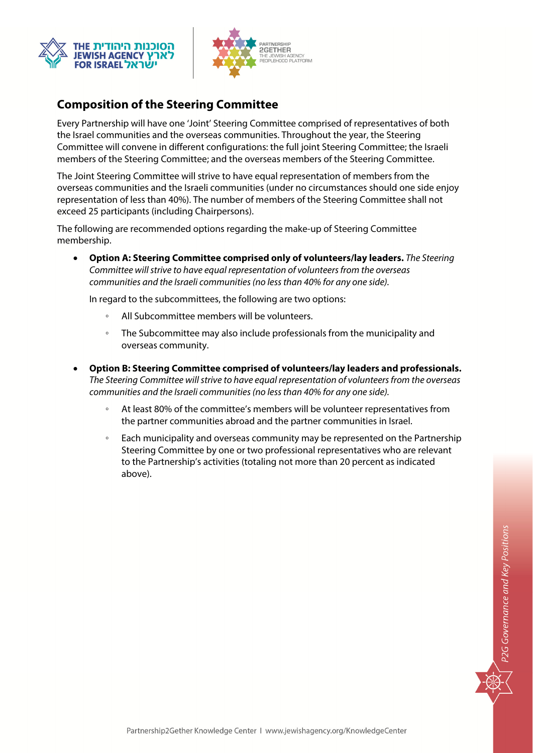



## **Composition of the Steering Committee**

Every Partnership will have one 'Joint' Steering Committee comprised of representatives of both the Israel communities and the overseas communities. Throughout the year, the Steering Committee will convene in different configurations: the full joint Steering Committee; the Israeli members of the Steering Committee; and the overseas members of the Steering Committee.

The Joint Steering Committee will strive to have equal representation of members from the overseas communities and the Israeli communities (under no circumstances should one side enjoy representation of less than 40%). The number of members of the Steering Committee shall not exceed 25 participants (including Chairpersons).

The following are recommended options regarding the make-up of Steering Committee membership.

 **Option A: Steering Committee comprised only of volunteers/lay leaders.** The Steering Committee will strive to have equal representation of volunteers from the overseas communities and the Israeli communities (no less than 40% for any one side).

In regard to the subcommittees, the following are two options:

- All Subcommittee members will be volunteers.
- The Subcommittee may also include professionals from the municipality and overseas community.
- **Option B: Steering Committee comprised of volunteers/lay leaders and professionals.** The Steering Committee will strive to have equal representation of volunteers from the overseas communities and the Israeli communities (no less than 40% for any one side).
	- At least 80% of the committee's members will be volunteer representatives from the partner communities abroad and the partner communities in Israel.
	- Each municipality and overseas community may be represented on the Partnership Steering Committee by one or two professional representatives who are relevant to the Partnership's activities (totaling not more than 20 percent as indicated above).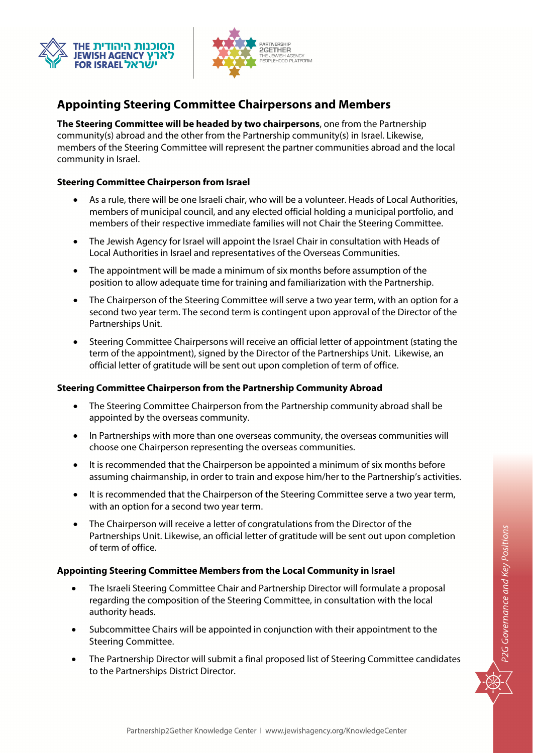



# **Appointing Steering Committee Chairpersons and Members**

**The Steering Committee will be headed by two chairpersons**, one from the Partnership community(s) abroad and the other from the Partnership community(s) in Israel. Likewise, members of the Steering Committee will represent the partner communities abroad and the local community in Israel.

### **Steering Committee Chairperson from Israel**

- As a rule, there will be one Israeli chair, who will be a volunteer. Heads of Local Authorities, members of municipal council, and any elected official holding a municipal portfolio, and members of their respective immediate families will not Chair the Steering Committee.
- The Jewish Agency for Israel will appoint the Israel Chair in consultation with Heads of Local Authorities in Israel and representatives of the Overseas Communities.
- The appointment will be made a minimum of six months before assumption of the position to allow adequate time for training and familiarization with the Partnership.
- The Chairperson of the Steering Committee will serve a two year term, with an option for a second two year term. The second term is contingent upon approval of the Director of the Partnerships Unit.
- Steering Committee Chairpersons will receive an official letter of appointment (stating the term of the appointment), signed by the Director of the Partnerships Unit. Likewise, an official letter of gratitude will be sent out upon completion of term of office.

### **Steering Committee Chairperson from the Partnership Community Abroad**

- The Steering Committee Chairperson from the Partnership community abroad shall be appointed by the overseas community.
- In Partnerships with more than one overseas community, the overseas communities will choose one Chairperson representing the overseas communities.
- It is recommended that the Chairperson be appointed a minimum of six months before assuming chairmanship, in order to train and expose him/her to the Partnership's activities.
- It is recommended that the Chairperson of the Steering Committee serve a two vear term, with an option for a second two year term.
- The Chairperson will receive a letter of congratulations from the Director of the Partnerships Unit. Likewise, an official letter of gratitude will be sent out upon completion of term of office.

### **Appointing Steering Committee Members from the Local Community in Israel**

- The Israeli Steering Committee Chair and Partnership Director will formulate a proposal regarding the composition of the Steering Committee, in consultation with the local authority heads.
- Subcommittee Chairs will be appointed in conjunction with their appointment to the Steering Committee.
- The Partnership Director will submit a final proposed list of Steering Committee candidates to the Partnerships District Director.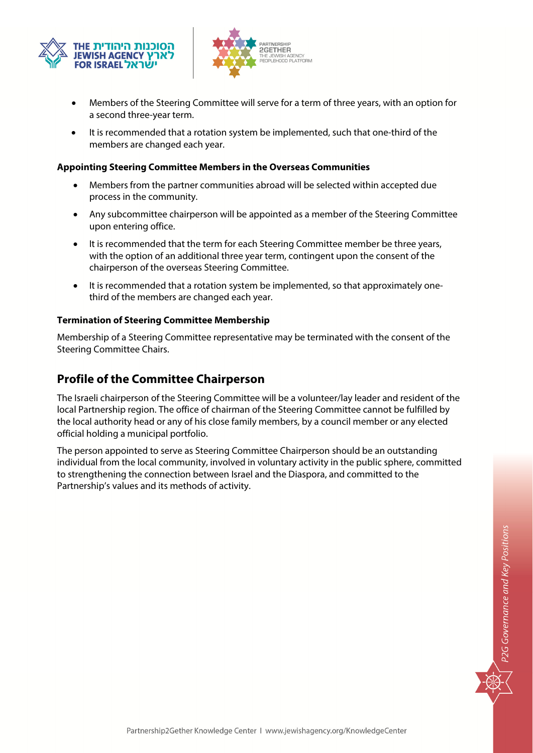



- Members of the Steering Committee will serve for a term of three years, with an option for a second three-year term.
- It is recommended that a rotation system be implemented, such that one-third of the members are changed each year.

#### **Appointing Steering Committee Members in the Overseas Communities**

- Members from the partner communities abroad will be selected within accepted due process in the community.
- Any subcommittee chairperson will be appointed as a member of the Steering Committee upon entering office.
- It is recommended that the term for each Steering Committee member be three years, with the option of an additional three year term, contingent upon the consent of the chairperson of the overseas Steering Committee.
- It is recommended that a rotation system be implemented, so that approximately onethird of the members are changed each year.

### **Termination of Steering Committee Membership**

Membership of a Steering Committee representative may be terminated with the consent of the Steering Committee Chairs.

### **Profile of the Committee Chairperson**

The Israeli chairperson of the Steering Committee will be a volunteer/lay leader and resident of the local Partnership region. The office of chairman of the Steering Committee cannot be fulfilled by the local authority head or any of his close family members, by a council member or any elected official holding a municipal portfolio.

The person appointed to serve as Steering Committee Chairperson should be an outstanding individual from the local community, involved in voluntary activity in the public sphere, committed to strengthening the connection between Israel and the Diaspora, and committed to the Partnership's values and its methods of activity.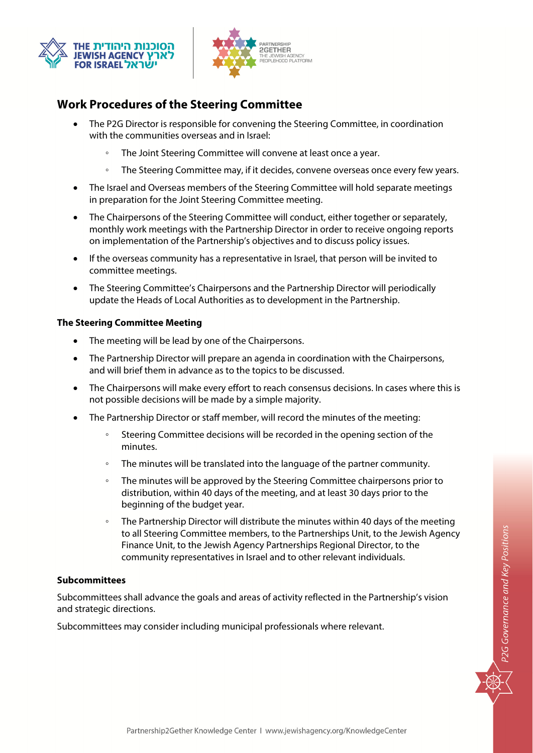



### **Work Procedures of the Steering Committee**

- The P2G Director is responsible for convening the Steering Committee, in coordination with the communities overseas and in Israel:
	- The Joint Steering Committee will convene at least once a year.
	- The Steering Committee may, if it decides, convene overseas once every few years.
- The Israel and Overseas members of the Steering Committee will hold separate meetings in preparation for the Joint Steering Committee meeting.
- The Chairpersons of the Steering Committee will conduct, either together or separately, monthly work meetings with the Partnership Director in order to receive ongoing reports on implementation of the Partnership's objectives and to discuss policy issues.
- If the overseas community has a representative in Israel, that person will be invited to committee meetings.
- The Steering Committee's Chairpersons and the Partnership Director will periodically update the Heads of Local Authorities as to development in the Partnership.

#### **The Steering Committee Meeting**

- The meeting will be lead by one of the Chairpersons.
- The Partnership Director will prepare an agenda in coordination with the Chairpersons, and will brief them in advance as to the topics to be discussed.
- The Chairpersons will make every effort to reach consensus decisions. In cases where this is not possible decisions will be made by a simple majority.
- The Partnership Director or staff member, will record the minutes of the meeting:
	- Steering Committee decisions will be recorded in the opening section of the minutes.
	- The minutes will be translated into the language of the partner community.
	- The minutes will be approved by the Steering Committee chairpersons prior to distribution, within 40 days of the meeting, and at least 30 days prior to the beginning of the budget year.
	- The Partnership Director will distribute the minutes within 40 days of the meeting to all Steering Committee members, to the Partnerships Unit, to the Jewish Agency Finance Unit, to the Jewish Agency Partnerships Regional Director, to the community representatives in Israel and to other relevant individuals.

#### **Subcommittees**

Subcommittees shall advance the goals and areas of activity reflected in the Partnership's vision and strategic directions.

Subcommittees may consider including municipal professionals where relevant.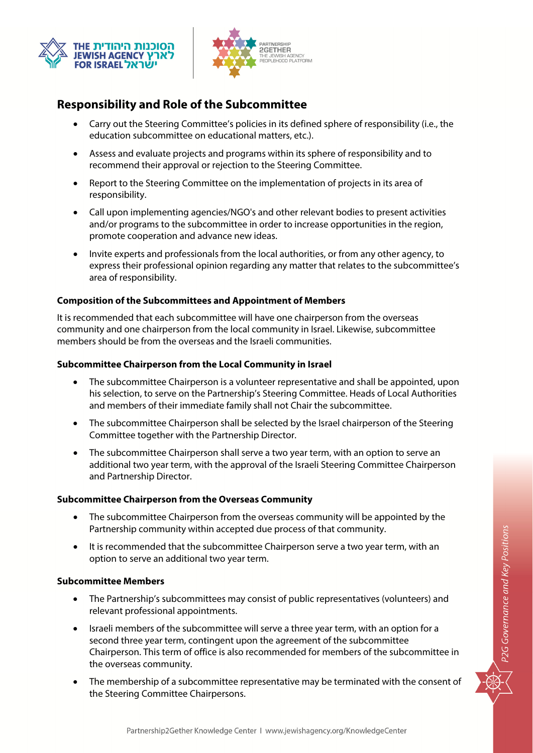



### **Responsibility and Role of the Subcommittee**

- Carry out the Steering Committee's policies in its defined sphere of responsibility (i.e., the education subcommittee on educational matters, etc.).
- Assess and evaluate projects and programs within its sphere of responsibility and to recommend their approval or rejection to the Steering Committee.
- Report to the Steering Committee on the implementation of projects in its area of responsibility.
- Call upon implementing agencies/NGO's and other relevant bodies to present activities and/or programs to the subcommittee in order to increase opportunities in the region, promote cooperation and advance new ideas.
- Invite experts and professionals from the local authorities, or from any other agency, to express their professional opinion regarding any matter that relates to the subcommittee's area of responsibility.

### **Composition of the Subcommittees and Appointment of Members**

It is recommended that each subcommittee will have one chairperson from the overseas community and one chairperson from the local community in Israel. Likewise, subcommittee members should be from the overseas and the Israeli communities.

### **Subcommittee Chairperson from the Local Community in Israel**

- The subcommittee Chairperson is a volunteer representative and shall be appointed, upon his selection, to serve on the Partnership's Steering Committee. Heads of Local Authorities and members of their immediate family shall not Chair the subcommittee.
- The subcommittee Chairperson shall be selected by the Israel chairperson of the Steering Committee together with the Partnership Director.
- The subcommittee Chairperson shall serve a two year term, with an option to serve an additional two year term, with the approval of the Israeli Steering Committee Chairperson and Partnership Director.

### **Subcommittee Chairperson from the Overseas Community**

- The subcommittee Chairperson from the overseas community will be appointed by the Partnership community within accepted due process of that community.
- It is recommended that the subcommittee Chairperson serve a two year term, with an option to serve an additional two year term.

### **Subcommittee Members**

- The Partnership's subcommittees may consist of public representatives (volunteers) and relevant professional appointments.
- Israeli members of the subcommittee will serve a three year term, with an option for a second three year term, contingent upon the agreement of the subcommittee Chairperson. This term of office is also recommended for members of the subcommittee in the overseas community.
- The membership of a subcommittee representative may be terminated with the consent of the Steering Committee Chairpersons.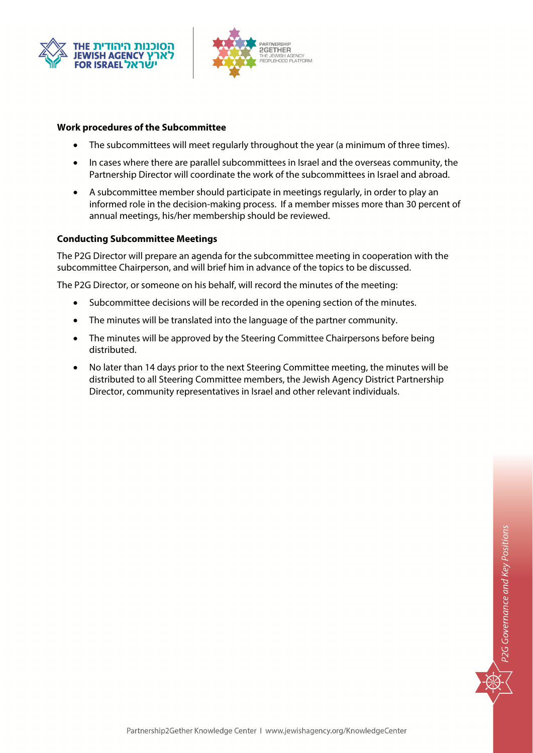



#### **Work procedures of the Subcommittee**

- The subcommittees will meet regularly throughout the year (a minimum of three times).
- In cases where there are parallel subcommittees in Israel and the overseas community, the Partnership Director will coordinate the work of the subcommittees in Israel and abroad.
- A subcommittee member should participate in meetings regularly, in order to play an informed role in the decision-making process. If a member misses more than 30 percent of annual meetings, his/her membership should be reviewed.

#### **Conducting Subcommittee Meetings**

The P2G Director will prepare an agenda for the subcommittee meeting in cooperation with the subcommittee Chairperson, and will brief him in advance of the topics to be discussed.

The P2G Director, or someone on his behalf, will record the minutes of the meeting:

- Subcommittee decisions will be recorded in the opening section of the minutes.
- The minutes will be translated into the language of the partner community.
- The minutes will be approved by the Steering Committee Chairpersons before being distributed.
- No later than 14 days prior to the next Steering Committee meeting, the minutes will be distributed to all Steering Committee members, the Jewish Agency District Partnership Director, community representatives in Israel and other relevant individuals.